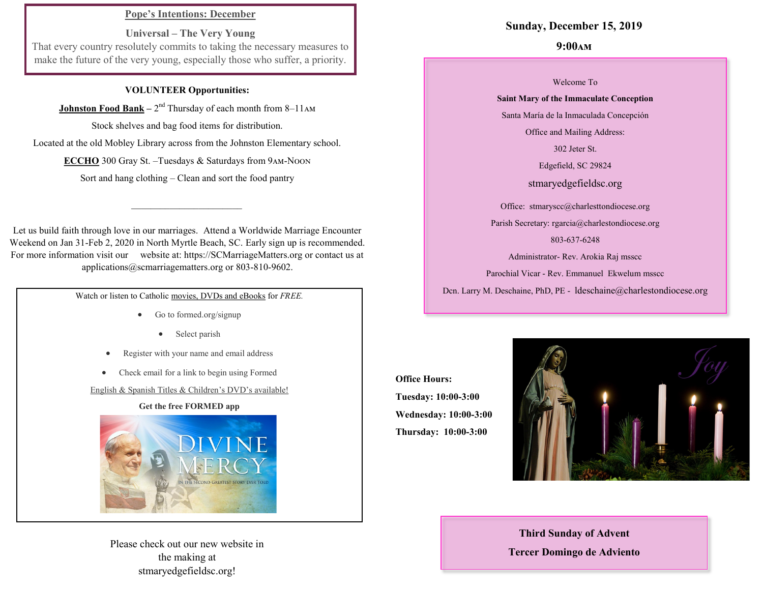## **Pope's Intentions: December**

**Universal – The Very Young** That every country resolutely commits to taking the necessary measures to make the future of the very young, especially those who suffer, a priority.

### **VOLUNTEER Opportunities:**

**Johnston Food Bank** – 2<sup>nd</sup> Thursday of each month from 8–11 AM

Stock shelves and bag food items for distribution.

Located at the old Mobley Library across from the Johnston Elementary school.

**ECCHO** 300 Gray St. –Tuesdays & Saturdays from 9am-Noon

Sort and hang clothing – Clean and sort the food pantry

 $\mathcal{L}=\{1,2,3,4,5\}$ 

Let us build faith through love in our marriages. Attend a Worldwide Marriage Encounter Weekend on Jan 31-Feb 2, 2020 in North Myrtle Beach, SC. Early sign up is recommended. For more information visit our website at: https://SCMarriageMatters.org or contact us at applications@scmarriagematters.org or 803-810-9602.

Watch or listen to Catholic movies, DVDs and eBooks for *FREE.*

- Go to formed.org/signup
	- Select parish
- Register with your name and email address
- Check email for a link to begin using Formed

English & Spanish Titles & Children's DVD's available!

#### **Get the free FORMED app**



Please check out our new website in the making at stmaryedgefieldsc.org!

## **Sunday, December 15, 2019**

## **9:00am**

Welcome To

## **Saint Mary of the Immaculate Conception**  Santa María de la Inmaculada Concepción

Office and Mailing Address:

302 Jeter St.

Edgefield, SC 29824

stmaryedgefieldsc.org

Office: stmaryscc@charlesttondiocese.org

Parish Secretary: rgarcia@charlestondiocese.org

803-637-6248

Administrator- Rev. Arokia Raj msscc

Parochial Vicar - Rev. Emmanuel Ekwelum msscc

Dcn. Larry M. Deschaine, PhD, PE - ldeschaine@charlestondiocese.org

**Office Hours: Tuesday: 10:00-3:00 Wednesday: 10:00-3:00 Thursday: 10:00-3:00**



**Third Sunday of Advent Tercer Domingo de Adviento**